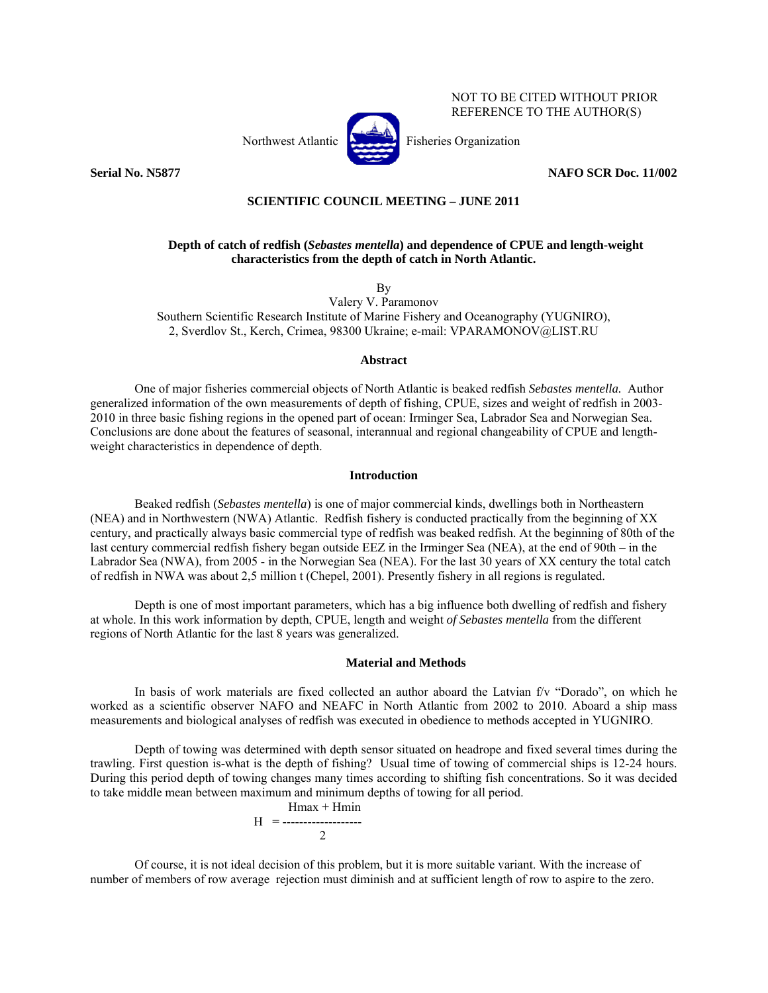

# NOT TO BE CITED WITHOUT PRIOR REFERENCE TO THE AUTHOR(S)

**Serial No. N5877 NAFO SCR Doc. 11/002** 

# **SCIENTIFIC COUNCIL MEETING – JUNE 2011**

# **Depth of catch of redfish (***Sebastes mentella***) and dependence of CPUE and length-weight characteristics from the depth of catch in North Atlantic.**

By

Valery V. Paramonov Southern Scientific Research Institute of Marine Fishery and Oceanography (YUGNIRO), 2, Sverdlov St., Kerch, Crimea, 98300 Ukraine; e-mail: VPARAMONOV@LIST.RU

#### **Abstract**

One of major fisheries commercial objects of North Atlantic is beaked redfish *Sebastes mentella.* Author generalized information of the own measurements of depth of fishing, CPUE, sizes and weight of redfish in 2003- 2010 in three basic fishing regions in the opened part of ocean: Irminger Sea, Labrador Sea and Norwegian Sea. Conclusions are done about the features of seasonal, interannual and regional changeability of CPUE and lengthweight characteristics in dependence of depth.

## **Introduction**

Beaked redfish (*Sebastes mentella*) is one of major commercial kinds, dwellings both in Northeastern (NEA) and in Northwestern (NWA) Atlantic. Redfish fishery is conducted practically from the beginning of ХХ century, and practically always basic commercial type of redfish was beaked redfish. At the beginning of 80th of the last century commercial redfish fishery began outside EEZ in the Irminger Sea (NEA), at the end of 90th – in the Labrador Sea (NWA), from 2005 - in the Norwegian Sea (NEA). For the last 30 years of ХХ century the total catch of redfish in NWA was about 2,5 million t (Chepel, 2001). Presently fishery in all regions is regulated.

Depth is one of most important parameters, which has a big influence both dwelling of redfish and fishery at whole. In this work information by depth, CPUE, length and weight *of Sebastes mentella* from the different regions of North Atlantic for the last 8 years was generalized.

#### **Material and Methods**

In basis of work materials are fixed collected an author aboard the Latvian f/v "Dorado", on which he worked as a scientific observer NAFO and NEAFC in North Atlantic from 2002 to 2010. Aboard a ship mass measurements and biological analyses of redfish was executed in obedience to methods accepted in YUGNIRO.

Depth of towing was determined with depth sensor situated on headrope and fixed several times during the trawling. First question is-what is the depth of fishing? Usual time of towing of commercial ships is 12-24 hours. During this period depth of towing changes many times according to shifting fish concentrations. So it was decided to take middle mean between maximum and minimum depths of towing for all period.

$$
H = \frac{Hmax + Hmin}{2}
$$

Of course, it is not ideal decision of this problem, but it is more suitable variant. With the increase of number of members of row average rejection must diminish and at sufficient length of row to aspire to the zero.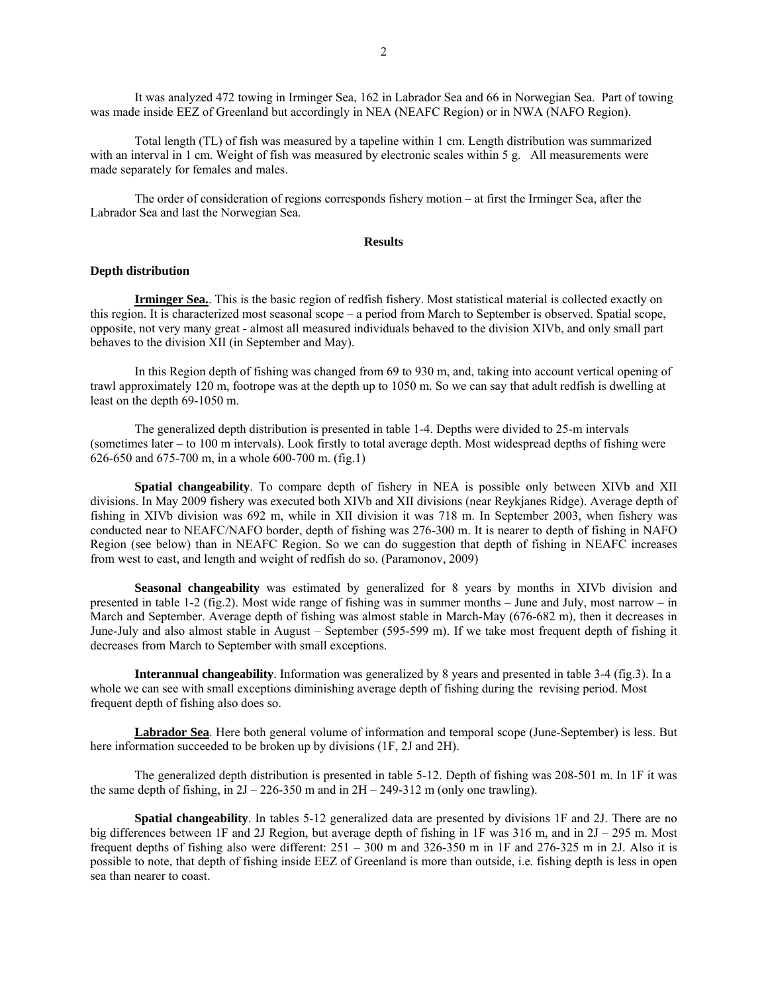It was analyzed 472 towing in Irminger Sea, 162 in Labrador Sea and 66 in Norwegian Sea. Part of towing was made inside EEZ of Greenland but accordingly in NEA (NEAFC Region) or in NWA (NAFO Region).

Total length (TL) of fish was measured by a tapeline within 1 cm. Length distribution was summarized with an interval in 1 cm. Weight of fish was measured by electronic scales within 5 g. All measurements were made separately for females and males.

The order of consideration of regions corresponds fishery motion – at first the Irminger Sea, after the Labrador Sea and last the Norwegian Sea.

## **Results**

## **Depth distribution**

**Irminger Sea.**. This is the basic region of redfish fishery. Most statistical material is collected exactly on this region. It is characterized most seasonal scope – a period from March to September is observed. Spatial scope, opposite, not very many great - almost all measured individuals behaved to the division XIVb, and only small part behaves to the division XII (in September and May).

In this Region depth of fishing was changed from 69 to 930 m, and, taking into account vertical opening of trawl approximately 120 m, footrope was at the depth up to 1050 m. So we can say that adult redfish is dwelling at least on the depth 69-1050 m.

The generalized depth distribution is presented in table 1-4. Depths were divided to 25-m intervals (sometimes later – to 100 m intervals). Look firstly to total average depth. Most widespread depths of fishing were 626-650 and 675-700 m, in a whole 600-700 m. (fig.1)

**Spatial changeability**. To compare depth of fishery in NEA is possible only between XIVb and XII divisions. In May 2009 fishery was executed both XIVb and XII divisions (near Reykjanes Ridge). Average depth of fishing in XIVb division was 692 m, while in XII division it was 718 m. In September 2003, when fishery was conducted near to NEAFC/NAFO border, depth of fishing was 276-300 m. It is nearer to depth of fishing in NAFO Region (see below) than in NEAFC Region. So we can do suggestion that depth of fishing in NEAFC increases from west to east, and length and weight of redfish do so. (Paramonov, 2009)

**Seasonal changeability** was estimated by generalized for 8 years by months in XIVb division and presented in table 1-2 (fig.2). Most wide range of fishing was in summer months – June and July, most narrow – in March and September. Average depth of fishing was almost stable in March-May (676-682 m), then it decreases in June-July and also almost stable in August – September (595-599 m). If we take most frequent depth of fishing it decreases from March to September with small exceptions.

**Interannual changeability**. Information was generalized by 8 years and presented in table 3-4 (fig.3). In a whole we can see with small exceptions diminishing average depth of fishing during the revising period. Most frequent depth of fishing also does so.

**Labrador Sea**. Here both general volume of information and temporal scope (June-September) is less. But here information succeeded to be broken up by divisions (1F, 2J and 2H).

The generalized depth distribution is presented in table 5-12. Depth of fishing was 208-501 m. In 1F it was the same depth of fishing, in  $2J - 226-350$  m and in  $2H - 249-312$  m (only one trawling).

**Spatial changeability**. In tables 5-12 generalized data are presented by divisions 1F and 2J. There are no big differences between 1F and 2J Region, but average depth of fishing in 1F was 316 m, and in 2J – 295 m. Most frequent depths of fishing also were different: 251 – 300 m and 326-350 m in 1F and 276-325 m in 2J. Also it is possible to note, that depth of fishing inside EEZ of Greenland is more than outside, i.e. fishing depth is less in open sea than nearer to coast.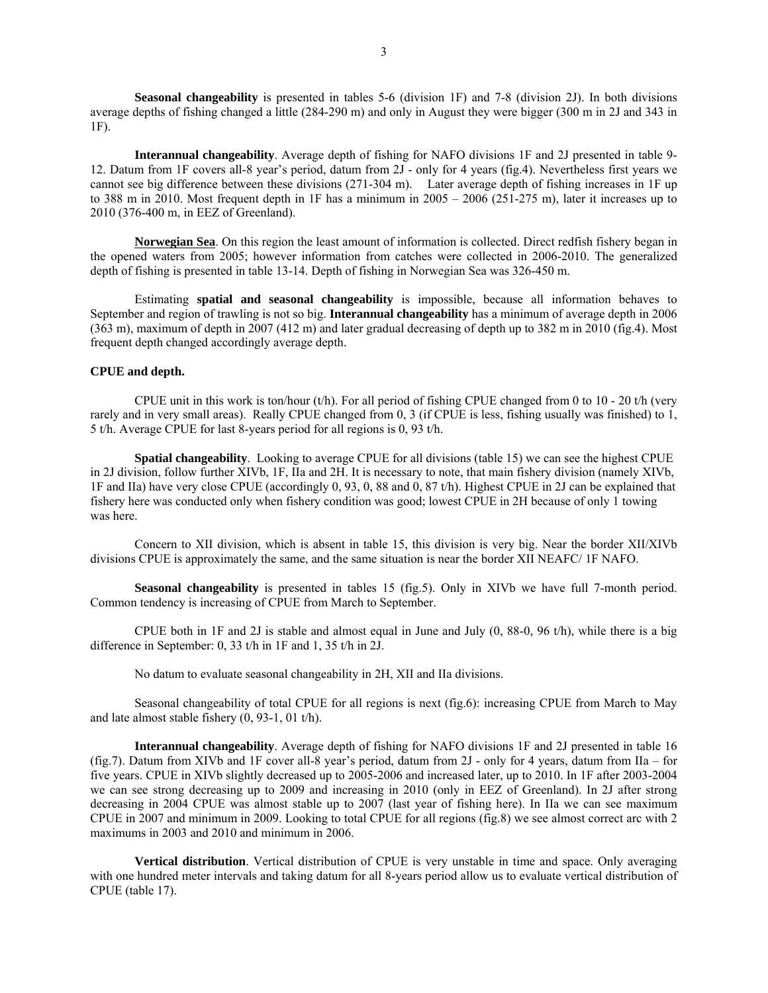**Seasonal changeability** is presented in tables 5-6 (division 1F) and 7-8 (division 2J). In both divisions average depths of fishing changed a little (284-290 m) and only in August they were bigger (300 m in 2J and 343 in 1F).

**Interannual changeability**. Average depth of fishing for NAFO divisions 1F and 2J presented in table 9- 12. Datum from 1F covers all-8 year's period, datum from 2J - only for 4 years (fig.4). Nevertheless first years we cannot see big difference between these divisions (271-304 m). Later average depth of fishing increases in 1F up to 388 m in 2010. Most frequent depth in 1F has a minimum in 2005 – 2006 (251-275 m), later it increases up to 2010 (376-400 m, in EEZ of Greenland).

**Norwegian Sea**. On this region the least amount of information is collected. Direct redfish fishery began in the opened waters from 2005; however information from catches were collected in 2006-2010. The generalized depth of fishing is presented in table 13-14. Depth of fishing in Norwegian Sea was 326-450 m.

Estimating **spatial and seasonal changeability** is impossible, because all information behaves to September and region of trawling is not so big. **Interannual changeability** has a minimum of average depth in 2006 (363 m), maximum of depth in 2007 (412 m) and later gradual decreasing of depth up to 382 m in 2010 (fig.4). Most frequent depth changed accordingly average depth.

# **CPUE and depth.**

CPUE unit in this work is ton/hour (t/h). For all period of fishing CPUE changed from 0 to  $10 - 20$  t/h (very rarely and in very small areas). Really CPUE changed from 0, 3 (if CPUE is less, fishing usually was finished) to 1, 5 t/h. Average CPUE for last 8-years period for all regions is 0, 93 t/h.

**Spatial changeability**. Looking to average CPUE for all divisions (table 15) we can see the highest CPUE in 2J division, follow further XIVb, 1F, IIa and 2H. It is necessary to note, that main fishery division (namely XIVb, 1F and IIa) have very close CPUE (accordingly 0, 93, 0, 88 and 0, 87 t/h). Highest CPUE in 2J can be explained that fishery here was conducted only when fishery condition was good; lowest CPUE in 2H because of only 1 towing was here.

Concern to XII division, which is absent in table 15, this division is very big. Near the border XII/XIVb divisions CPUE is approximately the same, and the same situation is near the border XII NEAFC/ 1F NAFO.

**Seasonal changeability** is presented in tables 15 (fig.5). Only in XIVb we have full 7-month period. Common tendency is increasing of CPUE from March to September.

CPUE both in 1F and 2J is stable and almost equal in June and July (0, 88-0, 96 t/h), while there is a big difference in September: 0, 33 t/h in 1F and 1, 35 t/h in 2J.

No datum to evaluate seasonal changeability in 2H, XII and IIa divisions.

Seasonal changeability of total CPUE for all regions is next (fig.6): increasing CPUE from March to May and late almost stable fishery (0, 93-1, 01 t/h).

**Interannual changeability**. Average depth of fishing for NAFO divisions 1F and 2J presented in table 16 (fig.7). Datum from XIVb and 1F cover all-8 year's period, datum from 2J - only for 4 years, datum from IIa – for five years. CPUE in XIVb slightly decreased up to 2005-2006 and increased later, up to 2010. In 1F after 2003-2004 we can see strong decreasing up to 2009 and increasing in 2010 (only in EEZ of Greenland). In 2J after strong decreasing in 2004 CPUE was almost stable up to 2007 (last year of fishing here). In IIa we can see maximum CPUE in 2007 and minimum in 2009. Looking to total CPUE for all regions (fig.8) we see almost correct arc with 2 maximums in 2003 and 2010 and minimum in 2006.

**Vertical distribution**. Vertical distribution of CPUE is very unstable in time and space. Only averaging with one hundred meter intervals and taking datum for all 8-years period allow us to evaluate vertical distribution of CPUE (table 17).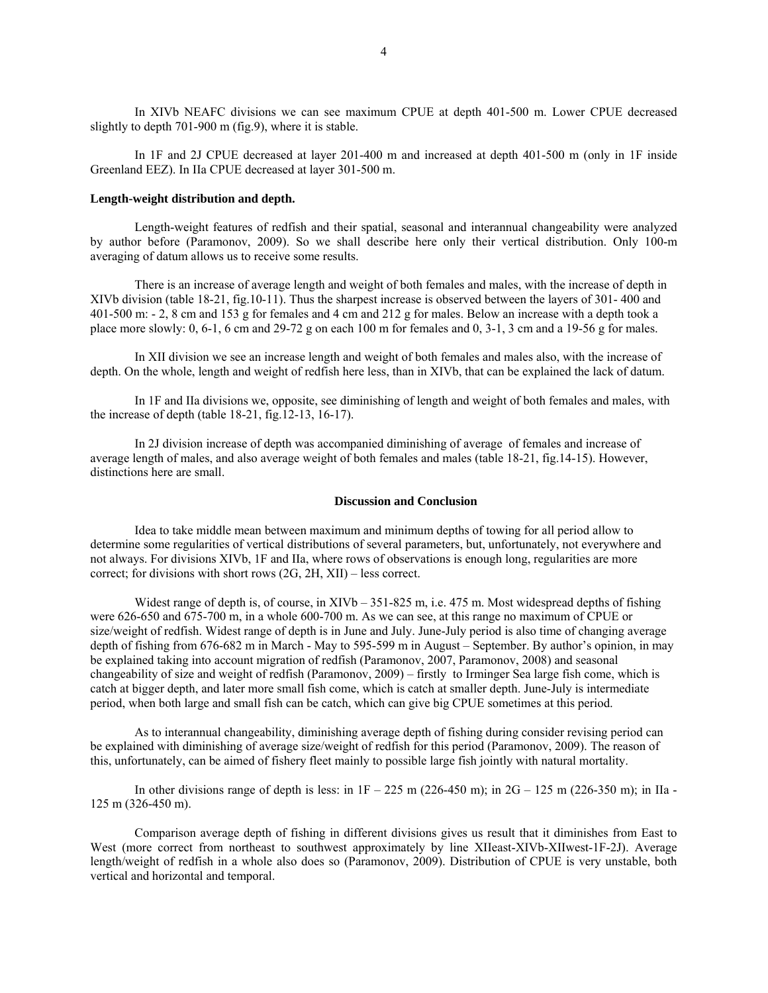In XIVb NEAFC divisions we can see maximum CPUE at depth 401-500 m. Lower CPUE decreased slightly to depth 701-900 m (fig.9), where it is stable.

In 1F and 2J CPUE decreased at layer 201-400 m and increased at depth 401-500 m (only in 1F inside Greenland EEZ). In IIa CPUE decreased at layer 301-500 m.

#### **Length-weight distribution and depth.**

Length-weight features of redfish and their spatial, seasonal and interannual changeability were analyzed by author before (Paramonov, 2009). So we shall describe here only their vertical distribution. Only 100-m averaging of datum allows us to receive some results.

There is an increase of average length and weight of both females and males, with the increase of depth in XIVb division (table 18-21, fig.10-11). Thus the sharpest increase is observed between the layers of 301- 400 and 401-500 m: - 2, 8 cm and 153 g for females and 4 cm and 212 g for males. Below an increase with a depth took a place more slowly: 0, 6-1, 6 cm and 29-72 g on each 100 m for females and 0, 3-1, 3 cm and a 19-56 g for males.

In XII division we see an increase length and weight of both females and males also, with the increase of depth. On the whole, length and weight of redfish here less, than in XIVb, that can be explained the lack of datum.

In 1F and IIa divisions we, opposite, see diminishing of length and weight of both females and males, with the increase of depth (table 18-21, fig.12-13, 16-17).

In 2J division increase of depth was accompanied diminishing of average of females and increase of average length of males, and also average weight of both females and males (table 18-21, fig.14-15). However, distinctions here are small.

#### **Discussion and Conclusion**

Idea to take middle mean between maximum and minimum depths of towing for all period allow to determine some regularities of vertical distributions of several parameters, but, unfortunately, not everywhere and not always. For divisions XIVb, 1F and IIa, where rows of observations is enough long, regularities are more correct; for divisions with short rows (2G, 2H, XII) – less correct.

Widest range of depth is, of course, in XIVb – 351-825 m, i.e. 475 m. Most widespread depths of fishing were 626-650 and 675-700 m, in a whole 600-700 m. As we can see, at this range no maximum of CPUE or size/weight of redfish. Widest range of depth is in June and July. June-July period is also time of changing average depth of fishing from 676-682 m in March - May to 595-599 m in August – September. By author's opinion, in may be explained taking into account migration of redfish (Paramonov, 2007, Paramonov, 2008) and seasonal changeability of size and weight of redfish (Paramonov, 2009) – firstly to Irminger Sea large fish come, which is catch at bigger depth, and later more small fish come, which is catch at smaller depth. June-July is intermediate period, when both large and small fish can be catch, which can give big CPUE sometimes at this period.

As to interannual changeability, diminishing average depth of fishing during consider revising period can be explained with diminishing of average size/weight of redfish for this period (Paramonov, 2009). The reason of this, unfortunately, can be aimed of fishery fleet mainly to possible large fish jointly with natural mortality.

In other divisions range of depth is less: in  $1F - 225$  m (226-450 m); in  $2G - 125$  m (226-350 m); in IIa -125 m (326-450 m).

Comparison average depth of fishing in different divisions gives us result that it diminishes from East to West (more correct from northeast to southwest approximately by line XIIeast-XIVb-XIIwest-1F-2J). Average length/weight of redfish in a whole also does so (Paramonov, 2009). Distribution of CPUE is very unstable, both vertical and horizontal and temporal.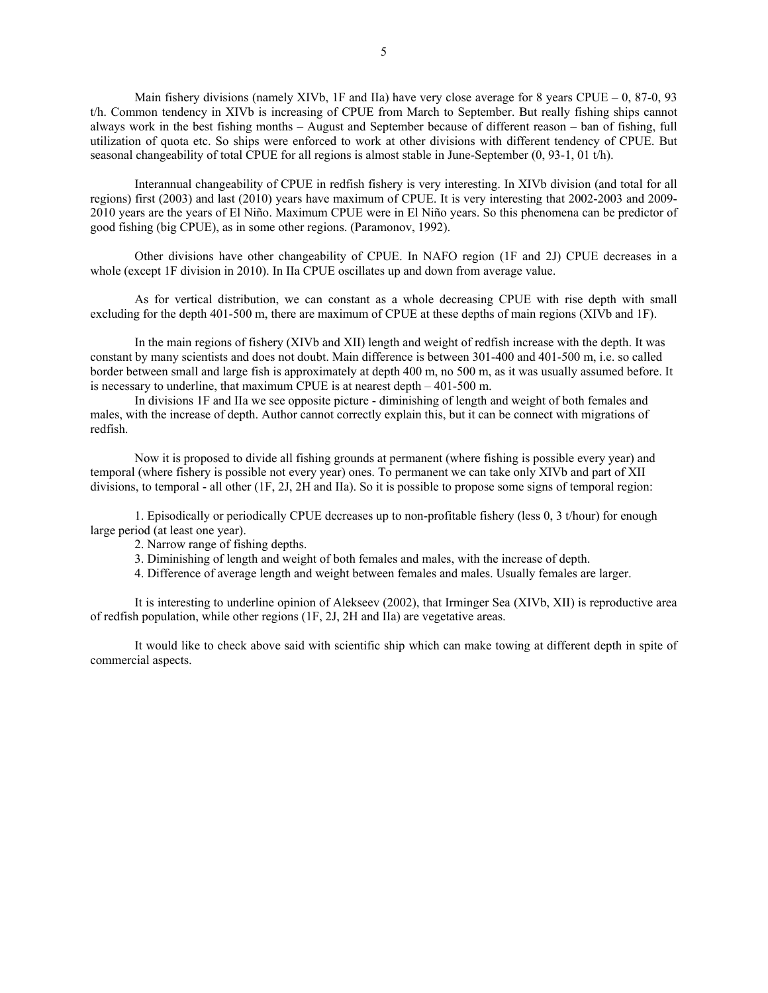Main fishery divisions (namely XIVb, 1F and IIa) have very close average for 8 years CPUE – 0, 87-0, 93 t/h. Common tendency in XIVb is increasing of CPUE from March to September. But really fishing ships cannot always work in the best fishing months – August and September because of different reason – ban of fishing, full utilization of quota etc. So ships were enforced to work at other divisions with different tendency of CPUE. But seasonal changeability of total CPUE for all regions is almost stable in June-September (0, 93-1, 01 t/h).

Interannual changeability of CPUE in redfish fishery is very interesting. In XIVb division (and total for all regions) first (2003) and last (2010) years have maximum of CPUE. It is very interesting that 2002-2003 and 2009- 2010 years are the years of El Niño. Maximum CPUE were in El Niño years. So this phenomena can be predictor of good fishing (big CPUE), as in some other regions. (Paramonov, 1992).

Other divisions have other changeability of CPUE. In NAFO region (1F and 2J) CPUE decreases in a whole (except 1F division in 2010). In IIa CPUE oscillates up and down from average value.

As for vertical distribution, we can constant as a whole decreasing CPUE with rise depth with small excluding for the depth 401-500 m, there are maximum of CPUE at these depths of main regions (XIVb and 1F).

In the main regions of fishery (XIVb and XII) length and weight of redfish increase with the depth. It was constant by many scientists and does not doubt. Main difference is between 301-400 and 401-500 m, i.e. so called border between small and large fish is approximately at depth 400 m, no 500 m, as it was usually assumed before. It is necessary to underline, that maximum CPUE is at nearest depth – 401-500 m.

In divisions 1F and IIa we see opposite picture - diminishing of length and weight of both females and males, with the increase of depth. Author cannot correctly explain this, but it can be connect with migrations of redfish.

Now it is proposed to divide all fishing grounds at permanent (where fishing is possible every year) and temporal (where fishery is possible not every year) ones. To permanent we can take only XIVb and part of XII divisions, to temporal - all other (1F, 2J, 2H and IIa). So it is possible to propose some signs of temporal region:

1. Episodically or periodically CPUE decreases up to non-profitable fishery (less 0, 3 t/hour) for enough large period (at least one year).

- 2. Narrow range of fishing depths.
- 3. Diminishing of length and weight of both females and males, with the increase of depth.

4. Difference of average length and weight between females and males. Usually females are larger.

It is interesting to underline opinion of Alekseev (2002), that Irminger Sea (XIVb, XII) is reproductive area of redfish population, while other regions (1F, 2J, 2H and IIa) are vegetative areas.

It would like to check above said with scientific ship which can make towing at different depth in spite of commercial aspects.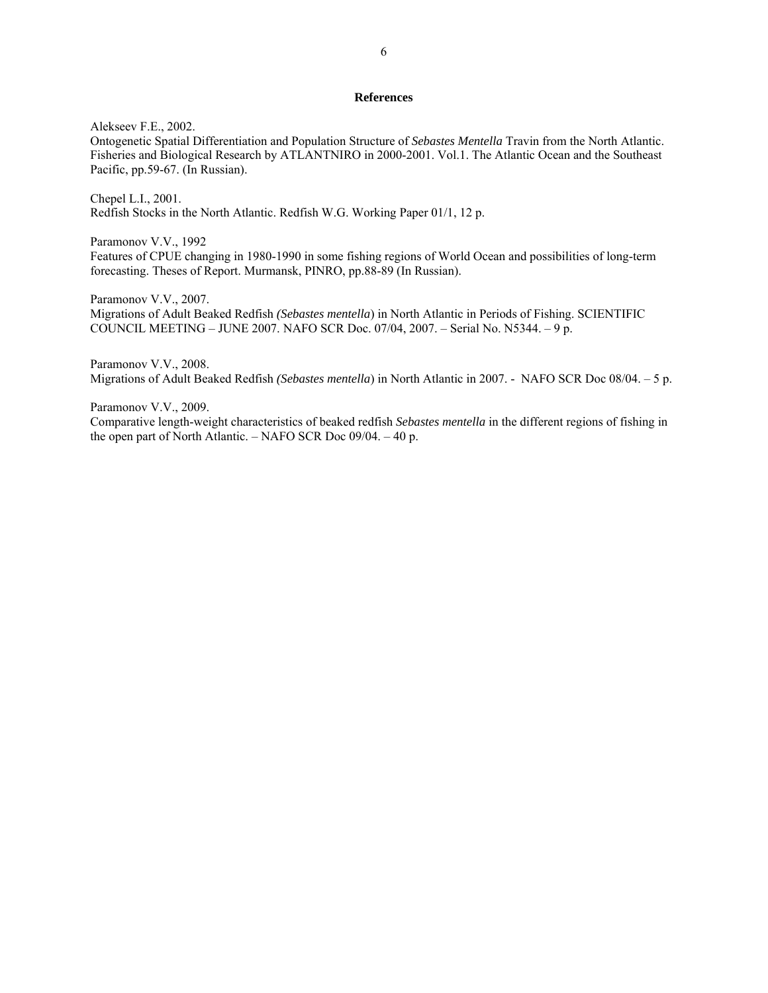## **References**

Alekseev F.E., 2002.

Ontogenetic Spatial Differentiation and Population Structure of *Sebastes Mentella* Travin from the North Atlantic. Fisheries and Biological Research by ATLANTNIRO in 2000-2001. Vol.1. The Atlantic Ocean and the Southeast Pacific, pp.59-67. (In Russian).

Chepel L.I., 2001. Redfish Stocks in the North Atlantic. Redfish W.G. Working Paper 01/1, 12 p.

Paramonov V.V., 1992

Features of CPUE changing in 1980-1990 in some fishing regions of World Ocean and possibilities of long-term forecasting. Theses of Report. Murmansk, PINRO, pp.88-89 (In Russian).

Paramonov V.V., 2007.

Migrations of Adult Beaked Redfish *(Sebastes mentella*) in North Atlantic in Periods of Fishing. SCIENTIFIC COUNCIL MEETING – JUNE 2007. NAFO SCR Doc. 07/04, 2007. – Serial No. N5344. – 9 p.

Paramonov V.V., 2008. Migrations of Adult Beaked Redfish *(Sebastes mentella*) in North Atlantic in 2007. - NAFO SCR Doc 08/04. – 5 p.

Paramonov V.V., 2009.

Comparative length-weight characteristics of beaked redfish *Sebastes mentella* in the different regions of fishing in the open part of North Atlantic. – NAFO SCR Doc 09/04. – 40 p.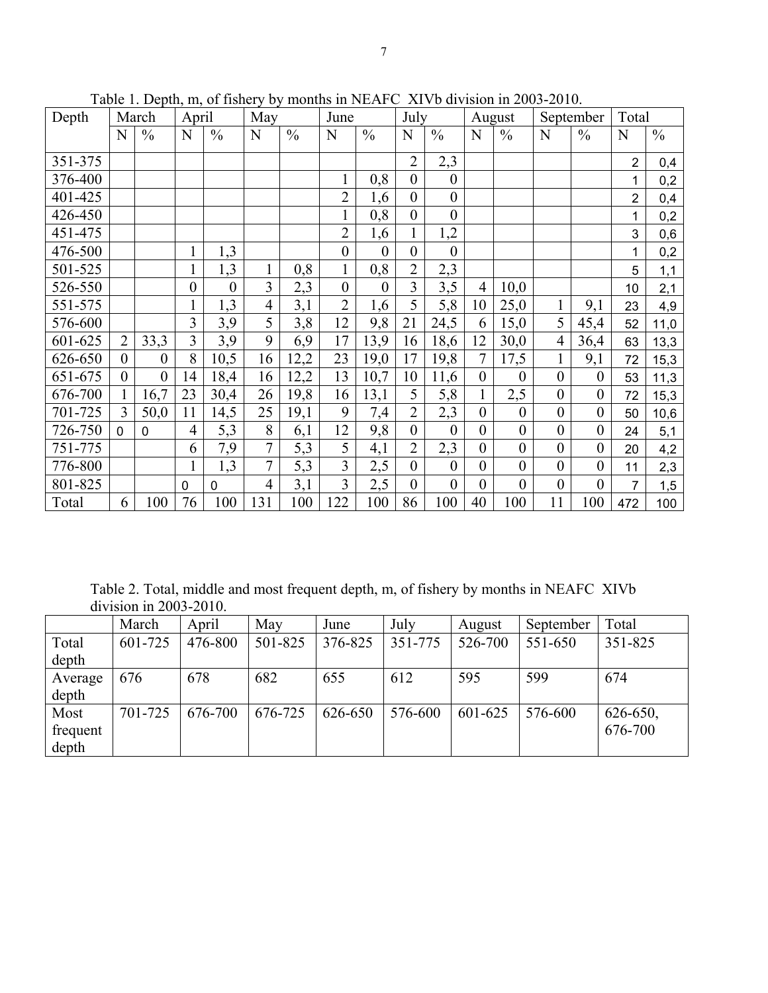| Depth   |                | March            | April            |                  | May            |               | June             |                  | July             |                  |                  | August           |                  | September        | Total          |               |
|---------|----------------|------------------|------------------|------------------|----------------|---------------|------------------|------------------|------------------|------------------|------------------|------------------|------------------|------------------|----------------|---------------|
|         | N              | $\frac{0}{0}$    | N                | $\frac{0}{0}$    | N              | $\frac{0}{0}$ | N                | $\frac{0}{0}$    | N                | $\frac{0}{0}$    | N                | $\frac{0}{0}$    | N                | $\frac{0}{0}$    | N              | $\frac{0}{0}$ |
| 351-375 |                |                  |                  |                  |                |               |                  |                  | $\overline{2}$   | 2,3              |                  |                  |                  |                  | $\overline{2}$ | 0,4           |
| 376-400 |                |                  |                  |                  |                |               | $\mathbf{1}$     | 0,8              | $\overline{0}$   | $\mathbf{0}$     |                  |                  |                  |                  | 1              | 0,2           |
| 401-425 |                |                  |                  |                  |                |               | $\overline{2}$   | 1,6              | $\overline{0}$   | $\boldsymbol{0}$ |                  |                  |                  |                  | $\overline{2}$ | 0,4           |
| 426-450 |                |                  |                  |                  |                |               | 1                | 0,8              | $\mathbf{0}$     | $\mathbf{0}$     |                  |                  |                  |                  | 1              | 0,2           |
| 451-475 |                |                  |                  |                  |                |               | $\overline{2}$   | 1,6              | $\mathbf{1}$     | 1,2              |                  |                  |                  |                  | 3              | 0,6           |
| 476-500 |                |                  | $\mathbf{1}$     | 1,3              |                |               | $\boldsymbol{0}$ | $\boldsymbol{0}$ | $\mathbf{0}$     | $\mathbf{0}$     |                  |                  |                  |                  | 1              | 0,2           |
| 501-525 |                |                  | $\mathbf{1}$     | 1,3              | $\mathbf{1}$   | 0,8           | $\mathbf{1}$     | 0,8              | $\overline{2}$   | 2,3              |                  |                  |                  |                  | 5              | 1,1           |
| 526-550 |                |                  | $\boldsymbol{0}$ | $\boldsymbol{0}$ | $\overline{3}$ | 2,3           | $\boldsymbol{0}$ | $\theta$         | 3                | 3,5              | $\overline{4}$   | 10,0             |                  |                  | 10             | 2,1           |
| 551-575 |                |                  | $\mathbf{1}$     | 1,3              | $\overline{4}$ | 3,1           | $\overline{2}$   | 1,6              | 5                | 5,8              | 10               | 25,0             | $\mathbf{1}$     | 9,1              | 23             | 4,9           |
| 576-600 |                |                  | 3                | 3,9              | 5              | 3,8           | 12               | 9,8              | 21               | 24,5             | 6                | 15,0             | 5                | 45,4             | 52             | 11,0          |
| 601-625 | $\overline{2}$ | 33,3             | $\overline{3}$   | 3,9              | 9              | 6,9           | 17               | 13,9             | 16               | 18,6             | 12               | 30,0             | $\overline{4}$   | 36,4             | 63             | 13,3          |
| 626-650 | $\theta$       | $\overline{0}$   | 8                | 10,5             | 16             | 12,2          | 23               | 19,0             | 17               | 19,8             | 7                | 17,5             | $\mathbf{1}$     | 9,1              | 72             | 15,3          |
| 651-675 | $\theta$       | $\boldsymbol{0}$ | 14               | 18,4             | 16             | 12,2          | 13               | 10,7             | 10               | 11,6             | $\boldsymbol{0}$ | $\boldsymbol{0}$ | $\boldsymbol{0}$ | $\boldsymbol{0}$ | 53             | 11,3          |
| 676-700 |                | 16,7             | 23               | 30,4             | 26             | 19,8          | 16               | 13,1             | 5                | 5,8              | $\mathbf{1}$     | 2,5              | $\boldsymbol{0}$ | $\boldsymbol{0}$ | 72             | 15,3          |
| 701-725 | 3              | 50,0             | 11               | 14,5             | 25             | 19,1          | 9                | 7,4              | $\overline{2}$   | 2,3              | $\theta$         | $\boldsymbol{0}$ | $\overline{0}$   | $\overline{0}$   | 50             | 10,6          |
| 726-750 | $\Omega$       | $\mathbf 0$      | $\overline{4}$   | 5,3              | $\,$ $\,$      | 6,1           | 12               | 9,8              | $\boldsymbol{0}$ | $\mathbf{0}$     | $\boldsymbol{0}$ | $\boldsymbol{0}$ | $\boldsymbol{0}$ | $\boldsymbol{0}$ | 24             | 5,1           |
| 751-775 |                |                  | 6                | 7,9              | $\overline{7}$ | 5,3           | 5                | 4,1              | $\overline{2}$   | 2,3              | $\overline{0}$   | $\boldsymbol{0}$ | $\boldsymbol{0}$ | $\boldsymbol{0}$ | 20             | 4,2           |
| 776-800 |                |                  |                  | 1,3              | $\overline{7}$ | 5,3           | 3                | 2,5              | $\overline{0}$   | $\mathbf{0}$     | $\mathbf{0}$     | $\boldsymbol{0}$ | $\boldsymbol{0}$ | $\boldsymbol{0}$ | 11             | 2,3           |
| 801-825 |                |                  | 0                | $\mathbf 0$      | $\overline{4}$ | 3,1           | 3                | 2,5              | $\boldsymbol{0}$ | $\mathbf{0}$     | $\mathbf{0}$     | $\theta$         | $\boldsymbol{0}$ | $\theta$         | 7              | 1,5           |
| Total   | 6              | 100              | 76               | 100              | 131            | 100           | 122              | 100              | 86               | 100              | 40               | 100              | 11               | 100              | 472            | 100           |

Table 1. Depth, m, of fishery by months in NEAFC XIVb division in 2003-2010.

Table 2. Total, middle and most frequent depth, m, of fishery by months in NEAFC XIVb division in 2003-2010.

|          | March   | April   | May     | June    | July    | August  | September | Total    |
|----------|---------|---------|---------|---------|---------|---------|-----------|----------|
| Total    | 601-725 | 476-800 | 501-825 | 376-825 | 351-775 | 526-700 | 551-650   | 351-825  |
| depth    |         |         |         |         |         |         |           |          |
| Average  | 676     | 678     | 682     | 655     | 612     | 595     | 599       | 674      |
| depth    |         |         |         |         |         |         |           |          |
| Most     | 701-725 | 676-700 | 676-725 | 626-650 | 576-600 | 601-625 | 576-600   | 626-650, |
| frequent |         |         |         |         |         |         |           | 676-700  |
| depth    |         |         |         |         |         |         |           |          |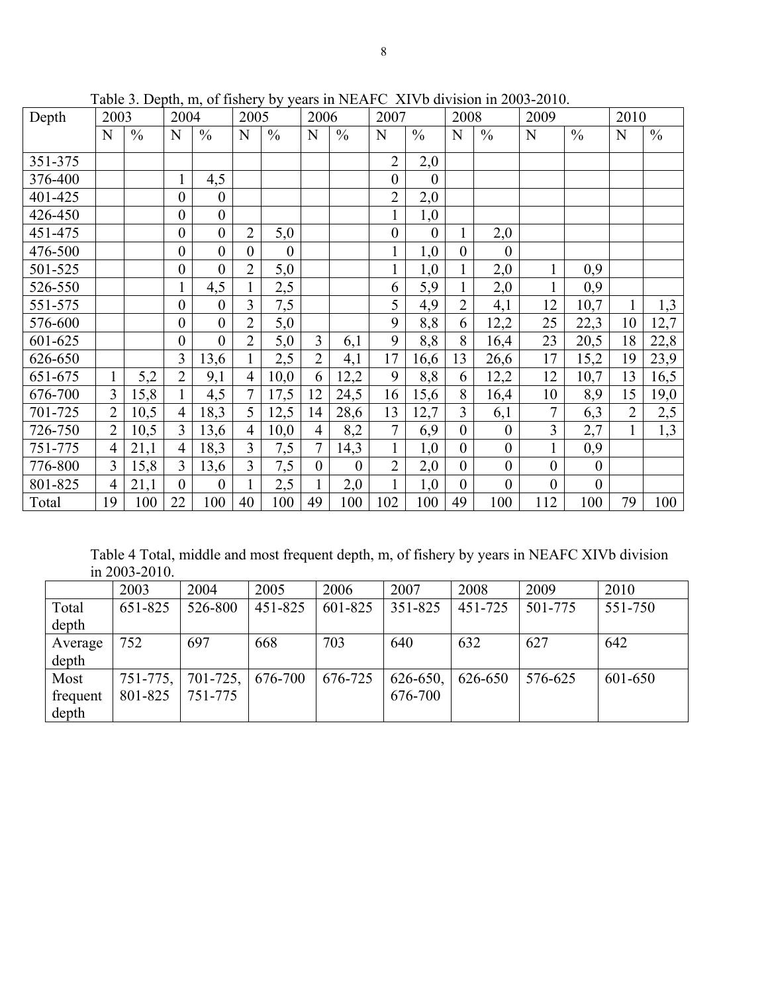| Depth   | 2003           |               | 2004             |                  | 2005           |               | 2006             |                  | 2007             |                  | 2008             |                  | 2009             |                  | 2010           |               |
|---------|----------------|---------------|------------------|------------------|----------------|---------------|------------------|------------------|------------------|------------------|------------------|------------------|------------------|------------------|----------------|---------------|
|         | N              | $\frac{0}{0}$ | N                | $\frac{0}{0}$    | N              | $\frac{0}{0}$ | N                | $\frac{0}{0}$    | N                | $\frac{0}{0}$    | N                | $\frac{0}{0}$    | N                | $\frac{0}{0}$    | N              | $\frac{0}{0}$ |
| 351-375 |                |               |                  |                  |                |               |                  |                  | $\overline{2}$   | 2,0              |                  |                  |                  |                  |                |               |
| 376-400 |                |               | $\mathbf{1}$     | 4,5              |                |               |                  |                  | $\boldsymbol{0}$ | $\overline{0}$   |                  |                  |                  |                  |                |               |
| 401-425 |                |               | $\boldsymbol{0}$ | $\boldsymbol{0}$ |                |               |                  |                  | $\overline{2}$   | 2,0              |                  |                  |                  |                  |                |               |
| 426-450 |                |               | $\boldsymbol{0}$ | $\boldsymbol{0}$ |                |               |                  |                  | $\mathbf{1}$     | 1,0              |                  |                  |                  |                  |                |               |
| 451-475 |                |               | $\boldsymbol{0}$ | $\boldsymbol{0}$ | $\overline{2}$ | 5,0           |                  |                  | $\boldsymbol{0}$ | $\boldsymbol{0}$ |                  | 2,0              |                  |                  |                |               |
| 476-500 |                |               | $\boldsymbol{0}$ | $\mathbf{0}$     | $\overline{0}$ | $\theta$      |                  |                  | $\mathbf{1}$     | 1,0              | $\boldsymbol{0}$ | $\overline{0}$   |                  |                  |                |               |
| 501-525 |                |               | $\boldsymbol{0}$ | $\boldsymbol{0}$ | $\overline{2}$ | 5,0           |                  |                  | $\mathbf{1}$     | 1,0              | $\mathbf{1}$     | 2,0              | $\mathbf{1}$     | 0,9              |                |               |
| 526-550 |                |               | $\mathbf{1}$     | 4,5              |                | 2,5           |                  |                  | 6                | 5,9              | $\mathbf{1}$     | 2,0              | $\mathbf{1}$     | 0,9              |                |               |
| 551-575 |                |               | $\boldsymbol{0}$ | $\mathbf{0}$     | $\overline{3}$ | 7,5           |                  |                  | 5                | 4,9              | $\overline{2}$   | 4,1              | 12               | 10,7             |                | 1,3           |
| 576-600 |                |               | $\boldsymbol{0}$ | $\boldsymbol{0}$ | $\overline{2}$ | 5,0           |                  |                  | 9                | 8,8              | 6                | 12,2             | 25               | 22,3             | 10             | 12,7          |
| 601-625 |                |               | $\boldsymbol{0}$ | $\overline{0}$   | $\overline{2}$ | 5,0           | $\overline{3}$   | 6,1              | 9                | 8,8              | 8                | 16,4             | 23               | 20,5             | 18             | 22,8          |
| 626-650 |                |               | 3                | 13,6             |                | 2,5           | $\overline{2}$   | 4,1              | 17               | 16,6             | 13               | 26,6             | 17               | 15,2             | 19             | 23,9          |
| 651-675 | $\mathbf{1}$   | 5,2           | $\overline{2}$   | 9,1              | $\overline{4}$ | 10,0          | 6                | 12,2             | 9                | 8,8              | 6                | 12,2             | 12               | 10,7             | 13             | 16,5          |
| 676-700 | $\overline{3}$ | 15,8          | 1                | 4,5              | 7              | 17,5          | 12               | 24,5             | 16               | 15,6             | 8                | 16,4             | 10               | 8,9              | 15             | 19,0          |
| 701-725 | $\overline{2}$ | 10,5          | $\overline{4}$   | 18,3             | 5              | 12,5          | 14               | 28,6             | 13               | 12,7             | 3                | 6,1              | $\overline{7}$   | 6,3              | $\overline{2}$ | 2,5           |
| 726-750 | $\overline{2}$ | 10,5          | 3                | 13,6             | $\overline{4}$ | 10,0          | $\overline{4}$   | 8,2              | $\overline{7}$   | 6,9              | $\mathbf{0}$     | $\boldsymbol{0}$ | 3                | 2,7              |                | 1,3           |
| 751-775 | $\overline{4}$ | 21,1          | $\overline{4}$   | 18,3             | 3              | 7,5           | $\overline{7}$   | 14,3             | $\mathbf{1}$     | 1,0              | $\overline{0}$   | $\overline{0}$   | $\mathbf{1}$     | 0,9              |                |               |
| 776-800 | 3              | 15,8          | 3                | 13,6             | $\overline{3}$ | 7,5           | $\boldsymbol{0}$ | $\boldsymbol{0}$ | $\overline{2}$   | 2,0              | $\boldsymbol{0}$ | $\boldsymbol{0}$ | $\boldsymbol{0}$ | $\boldsymbol{0}$ |                |               |
| 801-825 | $\overline{4}$ | 21,1          | $\overline{0}$   | $\theta$         |                | 2,5           |                  | 2,0              | $\mathbf{1}$     | 1,0              | $\overline{0}$   | $\mathbf{0}$     | $\boldsymbol{0}$ | $\overline{0}$   |                |               |
| Total   | 19             | 100           | 22               | 100              | 40             | 100           | 49               | 100              | 102              | 100              | 49               | 100              | 112              | 100              | 79             | 100           |

Table 3. Depth, m, of fishery by years in NEAFC XIVb division in 2003-2010.

Table 4 Total, middle and most frequent depth, m, of fishery by years in NEAFC XIVb division in 2003-2010.

|          | 2003          | 2004       | 2005    | 2006    | 2007          | 2008    | 2009    | 2010    |
|----------|---------------|------------|---------|---------|---------------|---------|---------|---------|
| Total    | 651-825       | 526-800    | 451-825 | 601-825 | 351-825       | 451-725 | 501-775 | 551-750 |
| depth    |               |            |         |         |               |         |         |         |
| Average  | 752           | 697        | 668     | 703     | 640           | 632     | 627     | 642     |
| depth    |               |            |         |         |               |         |         |         |
| Most     | $751 - 775$ , | $701-725,$ | 676-700 | 676-725 | $626 - 650$ , | 626-650 | 576-625 | 601-650 |
| frequent | 801-825       | 751-775    |         |         | 676-700       |         |         |         |
| depth    |               |            |         |         |               |         |         |         |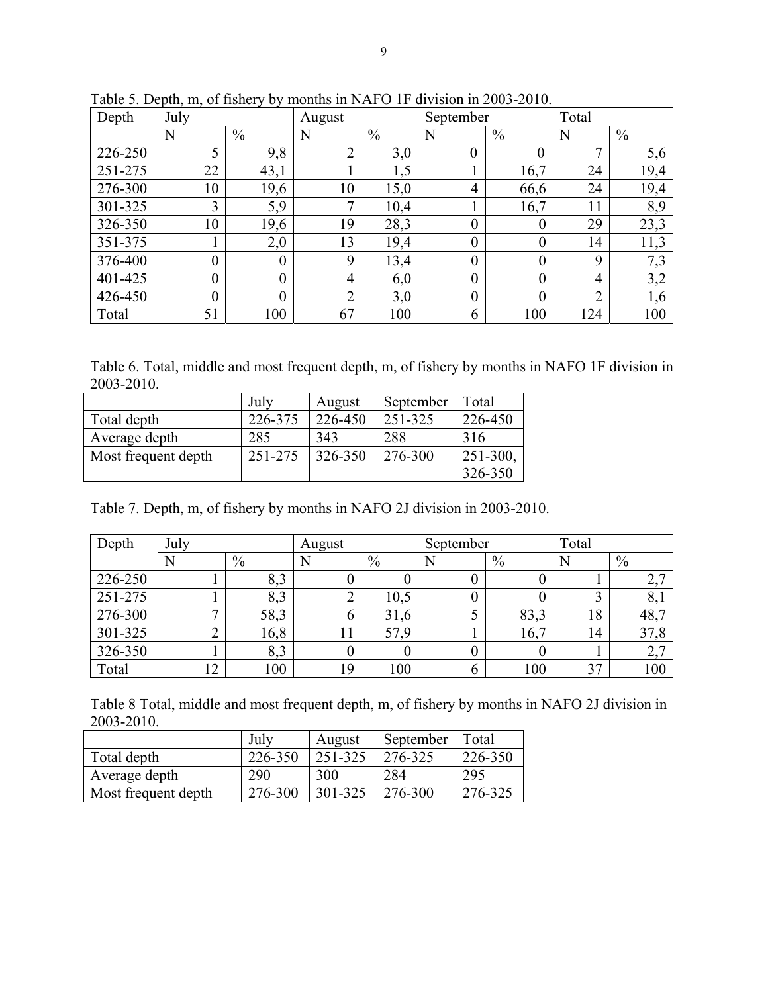| Depth   | July           |                  | August         |               | September      |                | Total          |               |  |
|---------|----------------|------------------|----------------|---------------|----------------|----------------|----------------|---------------|--|
|         | N              | $\frac{0}{0}$    | N              | $\frac{0}{0}$ | N              | $\frac{0}{0}$  | N              | $\frac{0}{0}$ |  |
| 226-250 | 5              | 9,8              | $\overline{2}$ | 3,0           | 0              | $\overline{0}$ | $\mathbf{r}$   | 5,6           |  |
| 251-275 | 22             | 43,1             |                | 1,5           |                | 16,7           | 24             | 19,4          |  |
| 276-300 | 10             | 19,6             | 10             | 15,0          | 4              | 66,6           | 24             | 19,4          |  |
| 301-325 | 3              | 5,9              | 7              | 10,4          |                | 16,7           | 11             | 8,9           |  |
| 326-350 | 10             | 19,6             | 19             | 28,3          | $\overline{0}$ | $\theta$       | 29             | 23,3          |  |
| 351-375 |                | 2,0              | 13             | 19,4          | $\overline{0}$ | $\theta$       | 14             | 11,3          |  |
| 376-400 | $\overline{0}$ | $\boldsymbol{0}$ | 9              | 13,4          | $\overline{0}$ | $\theta$       | 9              | 7,3           |  |
| 401-425 | $\overline{0}$ | $\overline{0}$   | 4              | 6,0           | $\overline{0}$ | $\overline{0}$ | 4              | 3,2           |  |
| 426-450 | $\overline{0}$ | $\overline{0}$   | $\overline{2}$ | 3,0           | $\overline{0}$ | $\overline{0}$ | $\overline{2}$ | 1,6           |  |
| Total   | 51             | 100              | 67             | 100           | 6              | 100            | 124            | 100           |  |

Table 5. Depth, m, of fishery by months in NAFO 1F division in 2003-2010.

Table 6. Total, middle and most frequent depth, m, of fishery by months in NAFO 1F division in 2003-2010.

|                     | July    | August  | September | Total         |
|---------------------|---------|---------|-----------|---------------|
| Total depth         | 226-375 | 226-450 | 251-325   | 226-450       |
| Average depth       | 285     | 343     | 288       | 316           |
| Most frequent depth | 251-275 | 326-350 | 276-300   | $251 - 300$ , |
|                     |         |         |           | 326-350       |

Table 7. Depth, m, of fishery by months in NAFO 2J division in 2003-2010.

| Depth   | July           |               | August |      | September |      | Total |                |  |
|---------|----------------|---------------|--------|------|-----------|------|-------|----------------|--|
|         | N              | $\frac{0}{0}$ |        | $\%$ |           | $\%$ |       | $\%$           |  |
| 226-250 |                | 8,3           |        |      |           |      |       | $\mathcal{L},$ |  |
| 251-275 |                | 8,3           |        | 10,5 |           |      |       | $\delta$ ,.    |  |
| 276-300 | ⇁              | 58,3          |        | 31,6 |           | 83,3 | 18    | 48,7           |  |
| 301-325 | $\overline{2}$ | 16,8          |        | 57,9 |           | 16,7 | 14    | 37,8           |  |
| 326-350 |                | 8,3           |        |      |           |      |       | 2,7            |  |
| Total   | ◠<br>∠         | 100           | 19     | 100  |           | 100  | 37    | 100            |  |

Table 8 Total, middle and most frequent depth, m, of fishery by months in NAFO 2J division in 2003-2010.

|                     | July    | August  | September | Total   |
|---------------------|---------|---------|-----------|---------|
| Total depth         | 226-350 | 251-325 | 276-325   | 226-350 |
| Average depth       | 290     | 300     | 284       | 295     |
| Most frequent depth | 276-300 | 301-325 | 276-300   | 276-325 |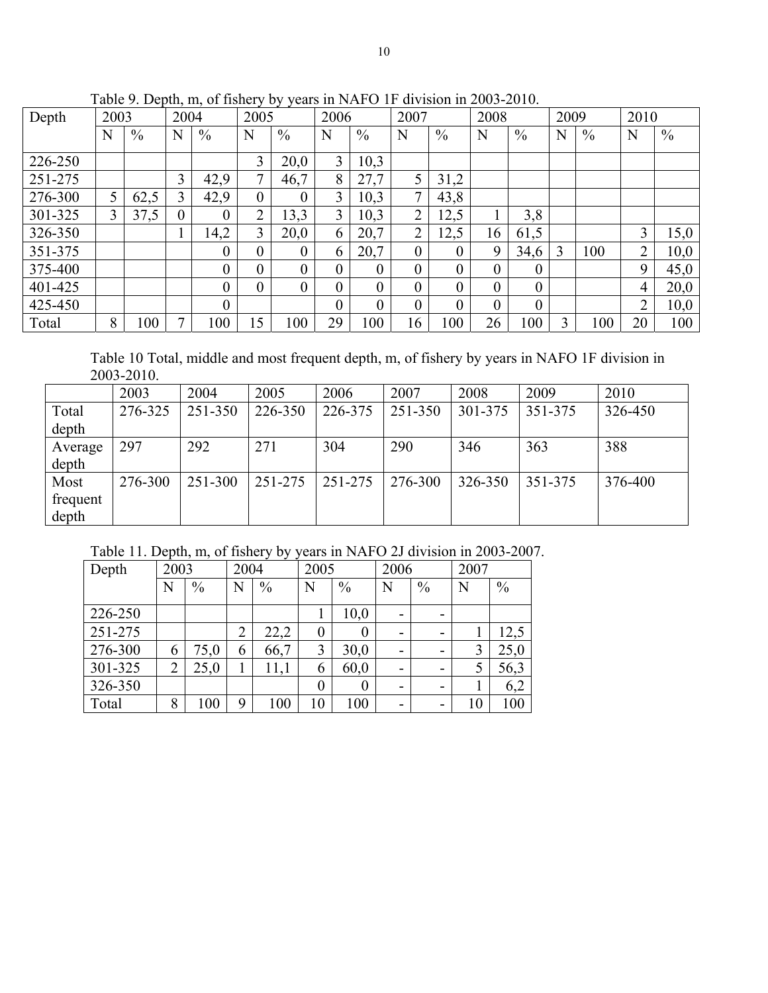| Depth   | 2003 |               | 2004           |                  | 2005             |               | 2006           |               | 2007           |                  | 2008           |              | 2009 |               | 2010           |      |
|---------|------|---------------|----------------|------------------|------------------|---------------|----------------|---------------|----------------|------------------|----------------|--------------|------|---------------|----------------|------|
|         | N    | $\frac{0}{0}$ | N              | $\frac{0}{0}$    | N                | $\frac{0}{0}$ | N              | $\frac{0}{0}$ | N              | $\%$             | N              | $\%$         | N    | $\frac{0}{0}$ | N              | $\%$ |
| 226-250 |      |               |                |                  | 3                | 20,0          | $\overline{3}$ | 10,3          |                |                  |                |              |      |               |                |      |
| 251-275 |      |               | 3              | 42,9             | 7                | 46,7          | 8              | 27,7          | 5              | 31,2             |                |              |      |               |                |      |
| 276-300 |      | 62,5          | 3              | 42,9             | $\boldsymbol{0}$ | $\theta$      | 3              | 10,3          | $\mathbf{r}$   | 43,8             |                |              |      |               |                |      |
| 301-325 | 3    | 37,5          | $\overline{0}$ | $\theta$         | 2                | 13,3          | 3              | 10,3          | $\overline{2}$ | 12,5             | 1              | 3,8          |      |               |                |      |
| 326-350 |      |               |                | 14,2             | 3                | 20,0          | 6              | 20,7          | C              | 12,5             | 16             | 61,5         |      |               | 3              | 15,0 |
| 351-375 |      |               |                | 0                | $\boldsymbol{0}$ | $\theta$      | 6              | 20,7          | $\overline{0}$ | $\boldsymbol{0}$ | 9              | 34,6         | 3    | 100           | $\overline{2}$ | 10,0 |
| 375-400 |      |               |                | $\overline{0}$   | 0                | $\theta$      | $\theta$       | $\theta$      | $\theta$       | $\boldsymbol{0}$ | $\overline{0}$ | $\theta$     |      |               | 9              | 45,0 |
| 401-425 |      |               |                | $\mathbf{0}$     | 0                | 0             | $\theta$       | $\theta$      | $\theta$       | $\boldsymbol{0}$ | $\overline{0}$ | $\theta$     |      |               | 4              | 20,0 |
| 425-450 |      |               |                | $\boldsymbol{0}$ |                  |               | $\theta$       | $\theta$      | $\overline{0}$ | $\boldsymbol{0}$ | $\overline{0}$ | $\mathbf{0}$ |      |               | $\overline{2}$ | 10,0 |
| Total   | 8    | 100           |                | 100              | 15               | 100           | 29             | 100           | 16             | 00 <sub>1</sub>  | 26             | 100          | 3    | 100           | 20             | 100  |

Table 9. Depth, m, of fishery by years in NAFO 1F division in 2003-2010.

Table 10 Total, middle and most frequent depth, m, of fishery by years in NAFO 1F division in 2003-2010.

|          | 2003    | 2004    | 2005    | 2006    | 2007    | 2008    | 2009    | 2010    |
|----------|---------|---------|---------|---------|---------|---------|---------|---------|
| Total    | 276-325 | 251-350 | 226-350 | 226-375 | 251-350 | 301-375 | 351-375 | 326-450 |
| depth    |         |         |         |         |         |         |         |         |
| Average  | 297     | 292     | 271     | 304     | 290     | 346     | 363     | 388     |
| depth    |         |         |         |         |         |         |         |         |
| Most     | 276-300 | 251-300 | 251-275 | 251-275 | 276-300 | 326-350 | 351-375 | 376-400 |
| frequent |         |         |         |         |         |         |         |         |
| depth    |         |         |         |         |         |         |         |         |

Table 11. Depth, m, of fishery by years in NAFO 2J division in 2003-2007.

| Depth   |                | 2003          |                | 2004          |                  | 2005          |   | 2006          |    |               |
|---------|----------------|---------------|----------------|---------------|------------------|---------------|---|---------------|----|---------------|
|         | Ñ              | $\frac{0}{0}$ | Ñ              | $\frac{0}{0}$ | N                | $\frac{0}{0}$ | N | $\frac{0}{0}$ | N  | $\frac{0}{0}$ |
| 226-250 |                |               |                |               |                  | 10,0          |   |               |    |               |
| 251-275 |                |               | $\overline{2}$ | 22,2          | $\boldsymbol{0}$ | 0             |   |               |    | 12,5          |
| 276-300 | 6              | 75,0          | 6              | 66,7          | 3                | 30,0          |   |               | 3  | 25,0          |
| 301-325 | $\overline{2}$ | 25,0          |                | 11,1          | 6                | 60,0          |   |               | 5  | 56,3          |
| 326-350 |                |               |                |               | $\boldsymbol{0}$ | 0             | - |               |    | 6,2           |
| Total   | 8              | 100           | 9              | 100           | 10               | 100           |   |               | 10 | 100           |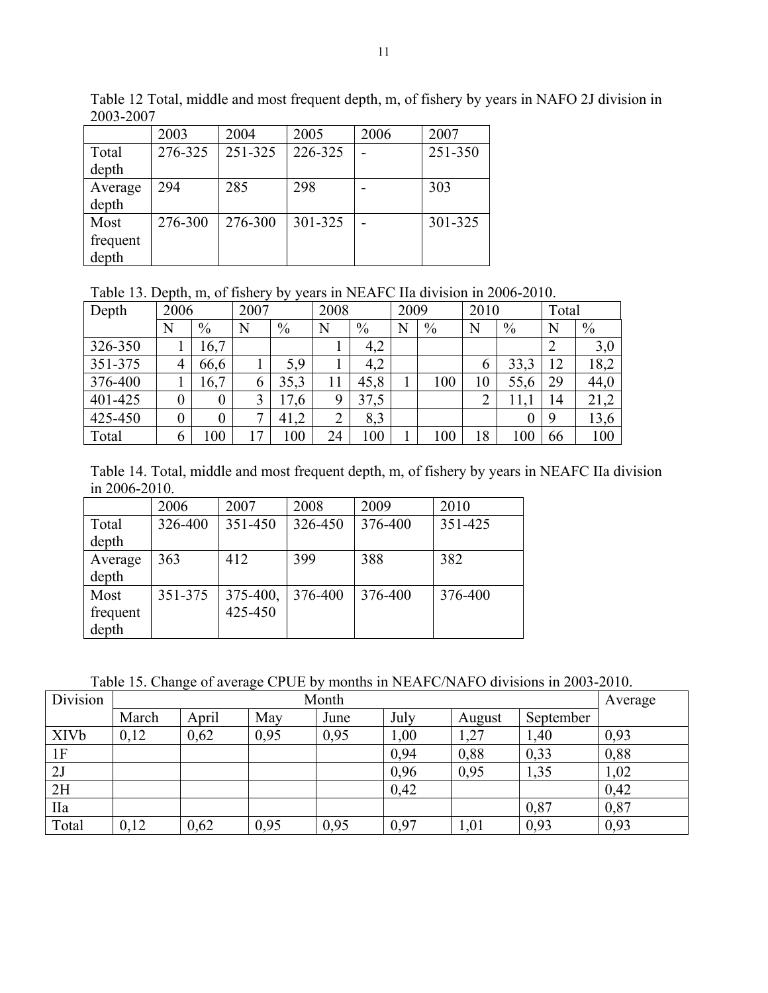|                           | 2003    | 2004    | 2005    | 2006 | 2007    |
|---------------------------|---------|---------|---------|------|---------|
| Total<br>depth            | 276-325 | 251-325 | 226-325 |      | 251-350 |
| Average<br>depth          | 294     | 285     | 298     |      | 303     |
| Most<br>frequent<br>depth | 276-300 | 276-300 | 301-325 |      | 301-325 |

Table 12 Total, middle and most frequent depth, m, of fishery by years in NAFO 2J division in 2003-2007

Table 13. Depth, m, of fishery by years in NEAFC IIa division in 2006-2010.

| Depth   | 2006 |                | 2007 | ັ້   | 2008   |      | 2009 |      | 2010           |      | Total |      |
|---------|------|----------------|------|------|--------|------|------|------|----------------|------|-------|------|
|         | N    | $\%$           | N    | $\%$ | N      | $\%$ | Ñ    | $\%$ | N              | $\%$ | N     | $\%$ |
| 326-350 |      | 16,7           |      |      |        | 4,2  |      |      |                |      |       | 3,0  |
| 351-375 |      | 66,6           |      | 5,9  |        | 4,2  |      |      | 6              | 33,3 | 12    | 18,2 |
| 376-400 |      | 16,7           | 6    | 35,3 | 11     | 45,8 |      | 100  | 10             | 55,6 | 29    | 44,0 |
| 401-425 |      | $\overline{0}$ | 3    | 17,6 | 9      | 37,5 |      |      | $\overline{2}$ | 11,  | 14    | 21,2 |
| 425-450 | 0    | $\overline{0}$ | ⇁    | 41,2 | C<br>∠ | 8,3  |      |      |                | 0    | 9     | 13,6 |
| Total   | O    | 100            | 17   | 100  | 24     | 100  |      | 100  | 18             | 100  | 66    | 100  |

Table 14. Total, middle and most frequent depth, m, of fishery by years in NEAFC IIa division in 2006-2010.

|          | 2006    | 2007     | 2008    | 2009    | 2010    |
|----------|---------|----------|---------|---------|---------|
| Total    | 326-400 | 351-450  | 326-450 | 376-400 | 351-425 |
| depth    |         |          |         |         |         |
| Average  | 363     | 412      | 399     | 388     | 382     |
| depth    |         |          |         |         |         |
| Most     | 351-375 | 375-400, | 376-400 | 376-400 | 376-400 |
| frequent |         | 425-450  |         |         |         |
| depth    |         |          |         |         |         |

Table 15. Change of average CPUE by months in NEAFC/NAFO divisions in 2003-2010.

| Division    |       | Average |      |      |      |        |           |      |
|-------------|-------|---------|------|------|------|--------|-----------|------|
|             | March | April   | May  | June | July | August | September |      |
| <b>XIVb</b> | 0,12  | 0,62    | 0,95 | 0,95 | 00,1 | 1,27   | 1,40      | 0,93 |
| 1F          |       |         |      |      | 0,94 | 0,88   | 0,33      | 0,88 |
| 2J          |       |         |      |      | 0,96 | 0,95   | 1,35      | 1,02 |
| 2H          |       |         |      |      | 0,42 |        |           | 0,42 |
| IIa         |       |         |      |      |      |        | 0,87      | 0,87 |
| Total       | 0,12  | 0,62    | 0,95 | 0,95 | 0,97 | , 01   | 0,93      | 0,93 |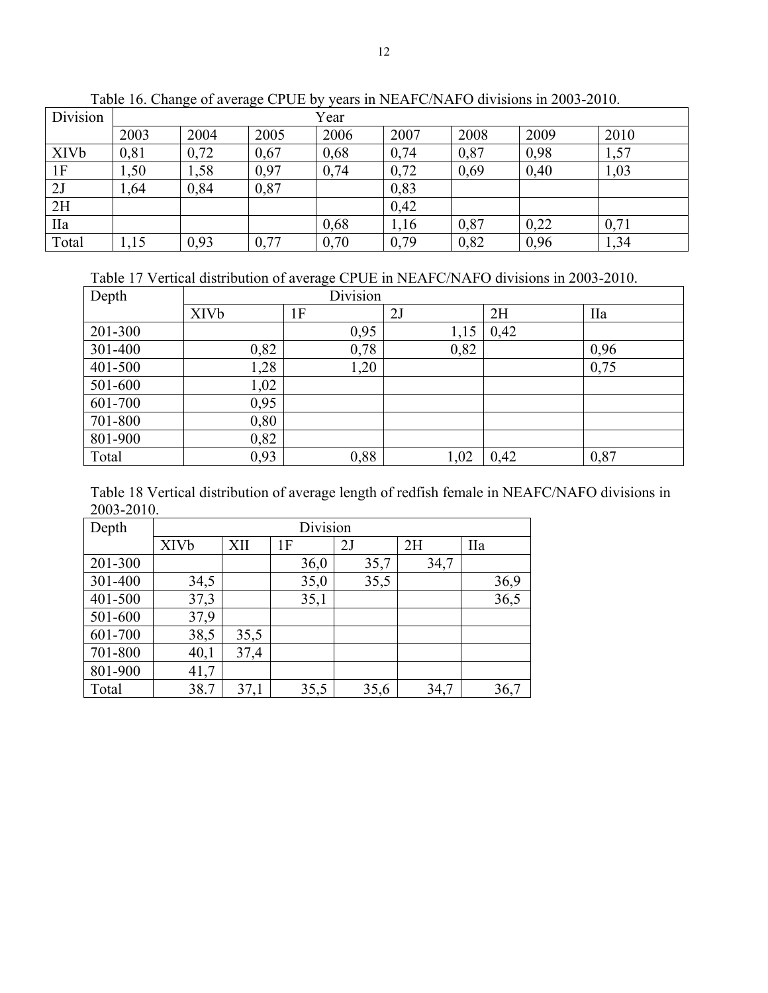| Division    |      | Year |      |      |      |      |      |      |  |  |  |  |
|-------------|------|------|------|------|------|------|------|------|--|--|--|--|
|             | 2003 | 2004 | 2005 | 2006 | 2007 | 2008 | 2009 | 2010 |  |  |  |  |
| <b>XIVb</b> | 0,81 | 0,72 | 0,67 | 0,68 | 0,74 | 0,87 | 0,98 | 1,57 |  |  |  |  |
| 1F          | 1,50 | ,58  | 0,97 | 0,74 | 0,72 | 0,69 | 0,40 | 1,03 |  |  |  |  |
| 2J          | 1,64 | 0,84 | 0,87 |      | 0,83 |      |      |      |  |  |  |  |
| 2H          |      |      |      |      | 0,42 |      |      |      |  |  |  |  |
| <b>IIa</b>  |      |      |      | 0,68 | 1,16 | 0,87 | 0,22 | 0,71 |  |  |  |  |
| Total       | .15  | 0.93 | 0,77 | 0,70 | 0,79 | 0,82 | 0,96 | 1,34 |  |  |  |  |

Table 16. Change of average CPUE by years in NEAFC/NAFO divisions in 2003-2010.

Table 17 Vertical distribution of average CPUE in NEAFC/NAFO divisions in 2003-2010.

| Depth   |             | Division |      |      |            |
|---------|-------------|----------|------|------|------------|
|         | <b>XIVb</b> | 1F       | 2J   | 2H   | <b>IIa</b> |
| 201-300 |             | 0,95     | 1,15 | 0,42 |            |
| 301-400 | 0,82        | 0,78     | 0,82 |      | 0,96       |
| 401-500 | 1,28        | 1,20     |      |      | 0,75       |
| 501-600 | 1,02        |          |      |      |            |
| 601-700 | 0,95        |          |      |      |            |
| 701-800 | 0,80        |          |      |      |            |
| 801-900 | 0,82        |          |      |      |            |
| Total   | 0,93        | 0,88     | 1,02 | 0,42 | 0,87       |

Table 18 Vertical distribution of average length of redfish female in NEAFC/NAFO divisions in 2003-2010.

| Depth   | Division    |      |      |      |      |            |  |  |  |
|---------|-------------|------|------|------|------|------------|--|--|--|
|         | <b>XIVb</b> | XII  | 1F   | 2J   | 2H   | <b>IIa</b> |  |  |  |
| 201-300 |             |      | 36,0 | 35,7 | 34,7 |            |  |  |  |
| 301-400 | 34,5        |      | 35,0 | 35,5 |      | 36,9       |  |  |  |
| 401-500 | 37,3        |      | 35,1 |      |      | 36,5       |  |  |  |
| 501-600 | 37,9        |      |      |      |      |            |  |  |  |
| 601-700 | 38,5        | 35,5 |      |      |      |            |  |  |  |
| 701-800 | 40,1        | 37,4 |      |      |      |            |  |  |  |
| 801-900 | 41,7        |      |      |      |      |            |  |  |  |
| Total   | 38.7        | 37,1 | 35,5 | 35,6 | 34,7 | 36,7       |  |  |  |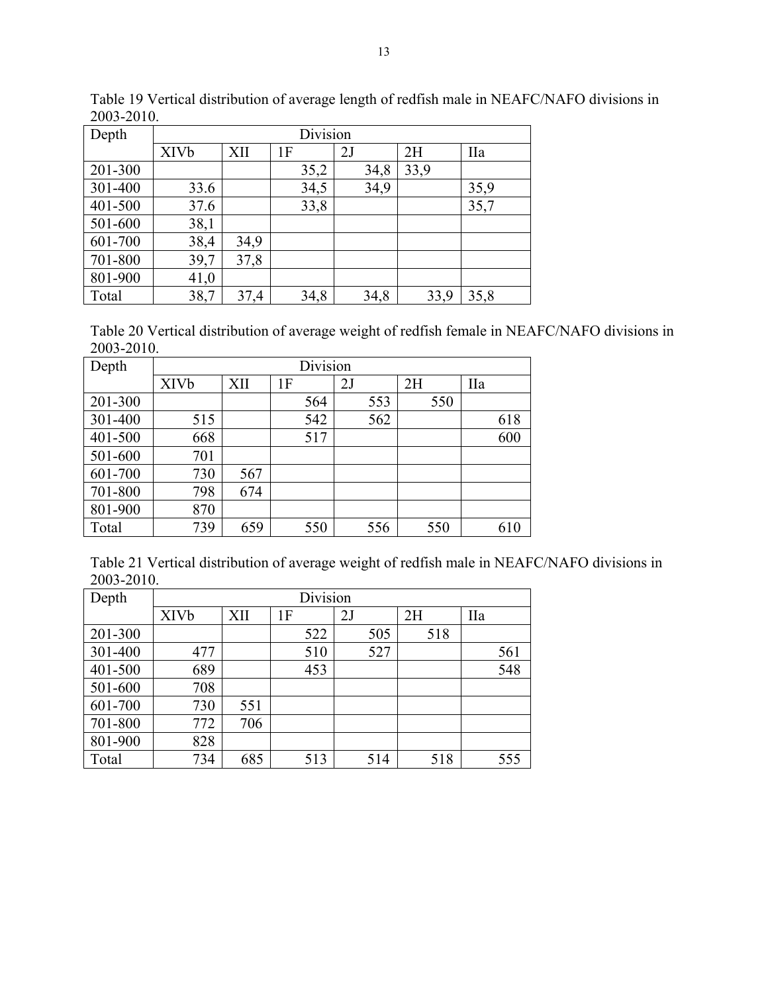| Depth   | Division    |      |      |      |      |            |  |  |  |
|---------|-------------|------|------|------|------|------------|--|--|--|
|         | <b>XIVb</b> | XII  | 1F   | 2J   | 2H   | <b>IIa</b> |  |  |  |
| 201-300 |             |      | 35,2 | 34,8 | 33,9 |            |  |  |  |
| 301-400 | 33.6        |      | 34,5 | 34,9 |      | 35,9       |  |  |  |
| 401-500 | 37.6        |      | 33,8 |      |      | 35,7       |  |  |  |
| 501-600 | 38,1        |      |      |      |      |            |  |  |  |
| 601-700 | 38,4        | 34,9 |      |      |      |            |  |  |  |
| 701-800 | 39,7        | 37,8 |      |      |      |            |  |  |  |
| 801-900 | 41,0        |      |      |      |      |            |  |  |  |
| Total   | 38,7        | 37,4 | 34,8 | 34,8 | 33,9 | 35,8       |  |  |  |

Table 19 Vertical distribution of average length of redfish male in NEAFC/NAFO divisions in 2003-2010.

Table 20 Vertical distribution of average weight of redfish female in NEAFC/NAFO divisions in 2003-2010.

| Depth   | Division    |     |    |     |    |     |     |            |     |
|---------|-------------|-----|----|-----|----|-----|-----|------------|-----|
|         | <b>XIVb</b> | XII | 1F |     | 2J |     | 2H  | <b>IIa</b> |     |
| 201-300 |             |     |    | 564 |    | 553 | 550 |            |     |
| 301-400 | 515         |     |    | 542 |    | 562 |     |            | 618 |
| 401-500 | 668         |     |    | 517 |    |     |     |            | 600 |
| 501-600 | 701         |     |    |     |    |     |     |            |     |
| 601-700 | 730         | 567 |    |     |    |     |     |            |     |
| 701-800 | 798         | 674 |    |     |    |     |     |            |     |
| 801-900 | 870         |     |    |     |    |     |     |            |     |
| Total   | 739         | 659 |    | 550 |    | 556 | 550 |            | 610 |

| Table 21 Vertical distribution of average weight of redfish male in NEAFC/NAFO divisions in |
|---------------------------------------------------------------------------------------------|
| 2003-2010.                                                                                  |

| Depth   | Division    |     |     |     |     |            |  |  |  |  |
|---------|-------------|-----|-----|-----|-----|------------|--|--|--|--|
|         | <b>XIVb</b> | XII | 1F  | 2J  | 2H  | <b>IIa</b> |  |  |  |  |
| 201-300 |             |     | 522 | 505 | 518 |            |  |  |  |  |
| 301-400 | 477         |     | 510 | 527 |     | 561        |  |  |  |  |
| 401-500 | 689         |     | 453 |     |     | 548        |  |  |  |  |
| 501-600 | 708         |     |     |     |     |            |  |  |  |  |
| 601-700 | 730         | 551 |     |     |     |            |  |  |  |  |
| 701-800 | 772         | 706 |     |     |     |            |  |  |  |  |
| 801-900 | 828         |     |     |     |     |            |  |  |  |  |
| Total   | 734         | 685 | 513 | 514 | 518 | 555        |  |  |  |  |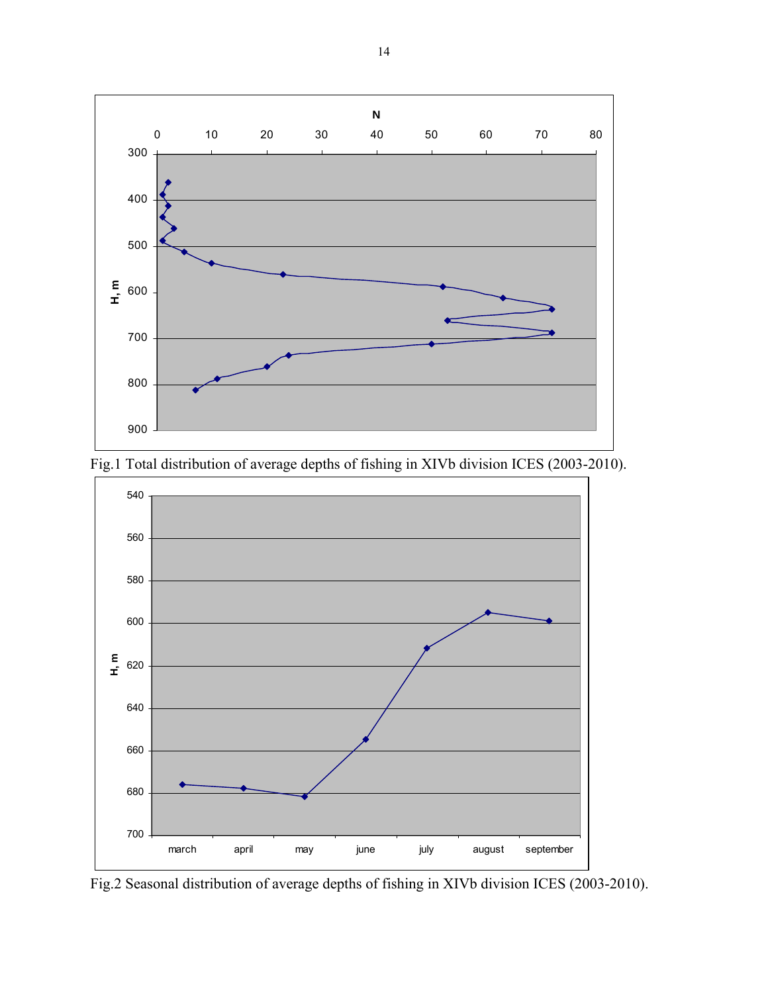



Fig.1 Total distribution of average depths of fishing in XIVb division ICES (2003-2010).

Fig.2 Seasonal distribution of average depths of fishing in XIVb division ICES (2003-2010).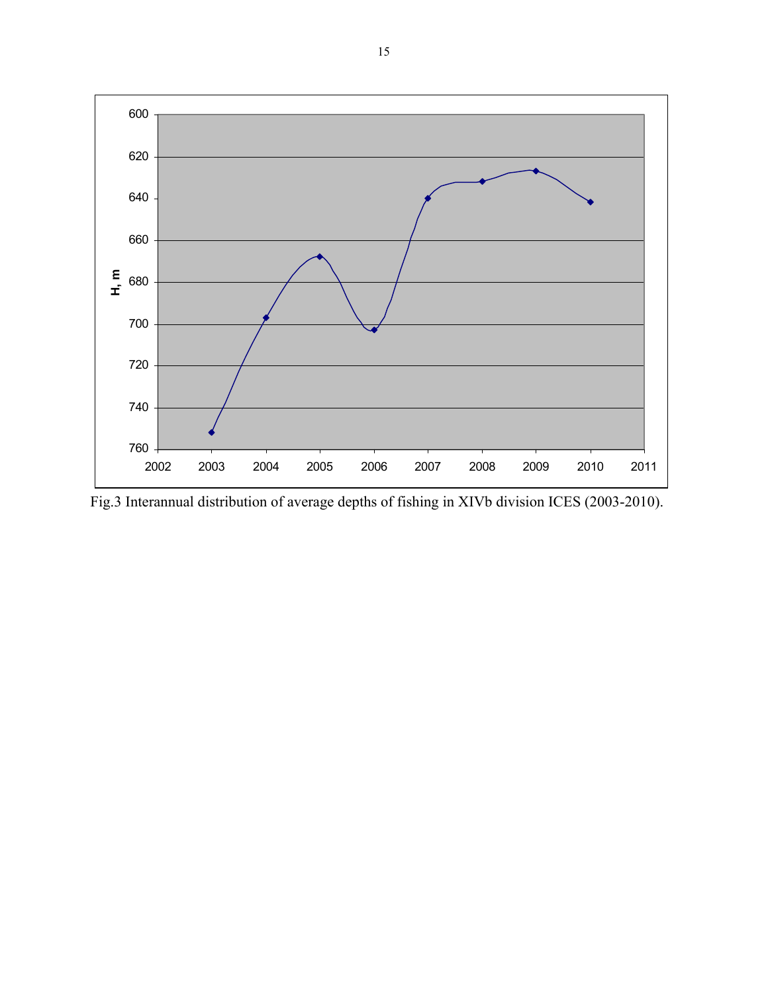

Fig.3 Interannual distribution of average depths of fishing in XIVb division ICES (2003-2010).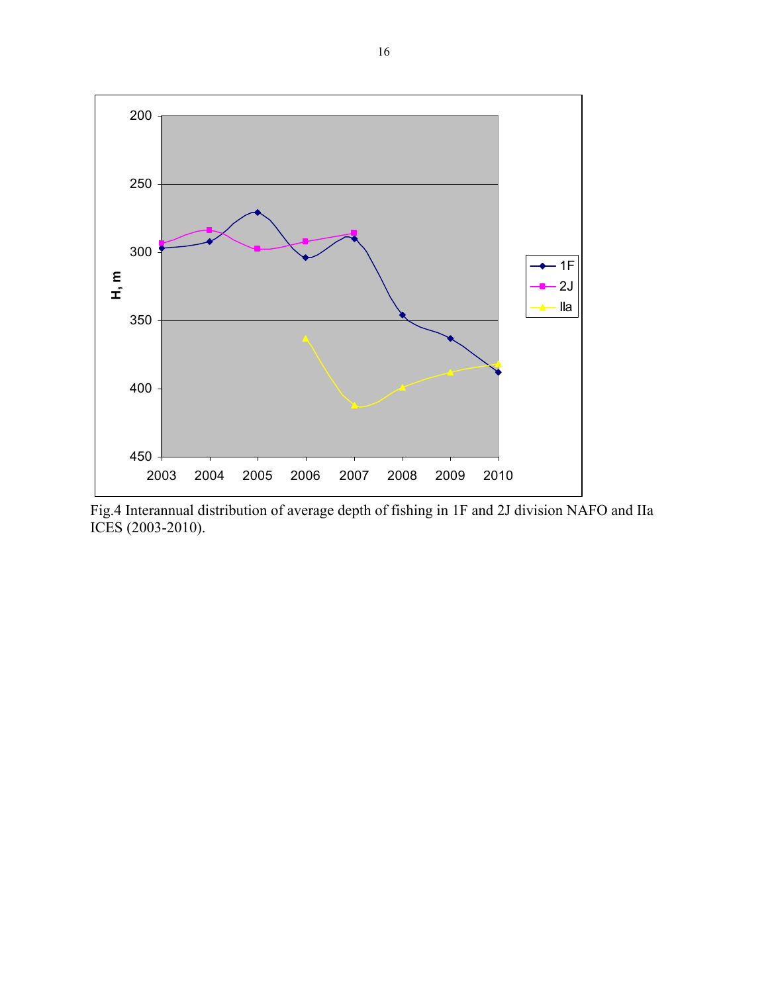

Fig.4 Interannual distribution of average depth of fishing in 1F and 2J division NAFO and IIa ICES (2003-2010).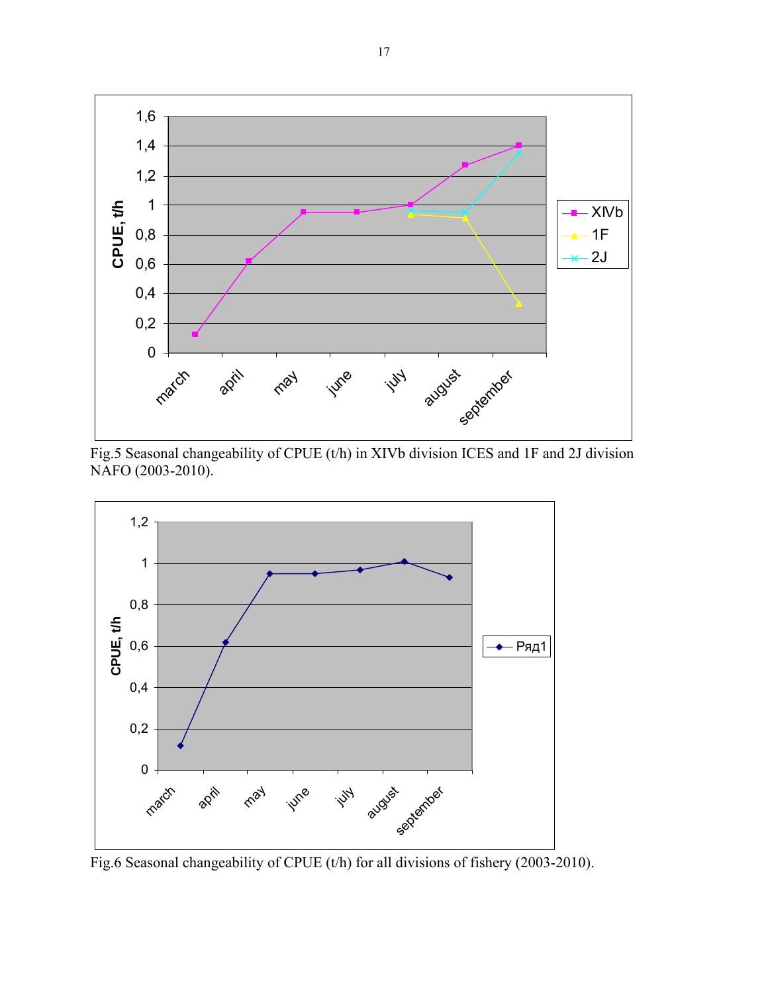

 Fig.5 Seasonal changeability of CPUE (t/h) in XIVb division ICES and 1F and 2J division NAFO (2003-2010).



Fig.6 Seasonal changeability of CPUE (t/h) for all divisions of fishery (2003-2010).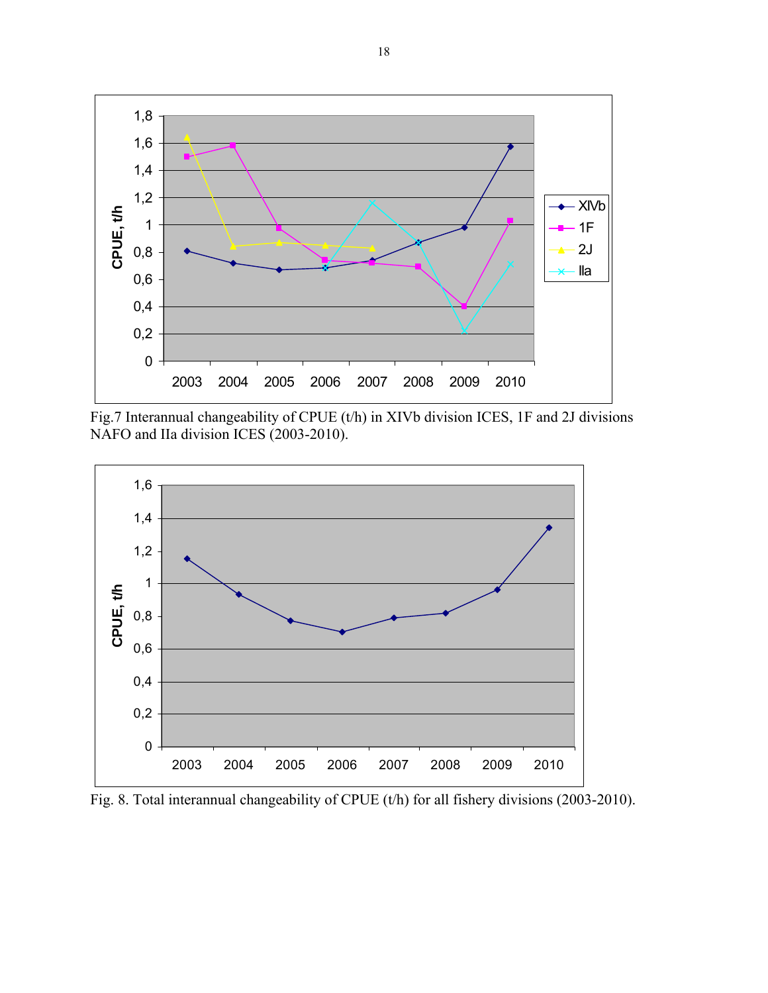

Fig.7 Interannual changeability of CPUE (t/h) in XIVb division ICES, 1F and 2J divisions NAFO and IIa division ICES (2003-2010).



Fig. 8. Total interannual changeability of CPUE (t/h) for all fishery divisions (2003-2010).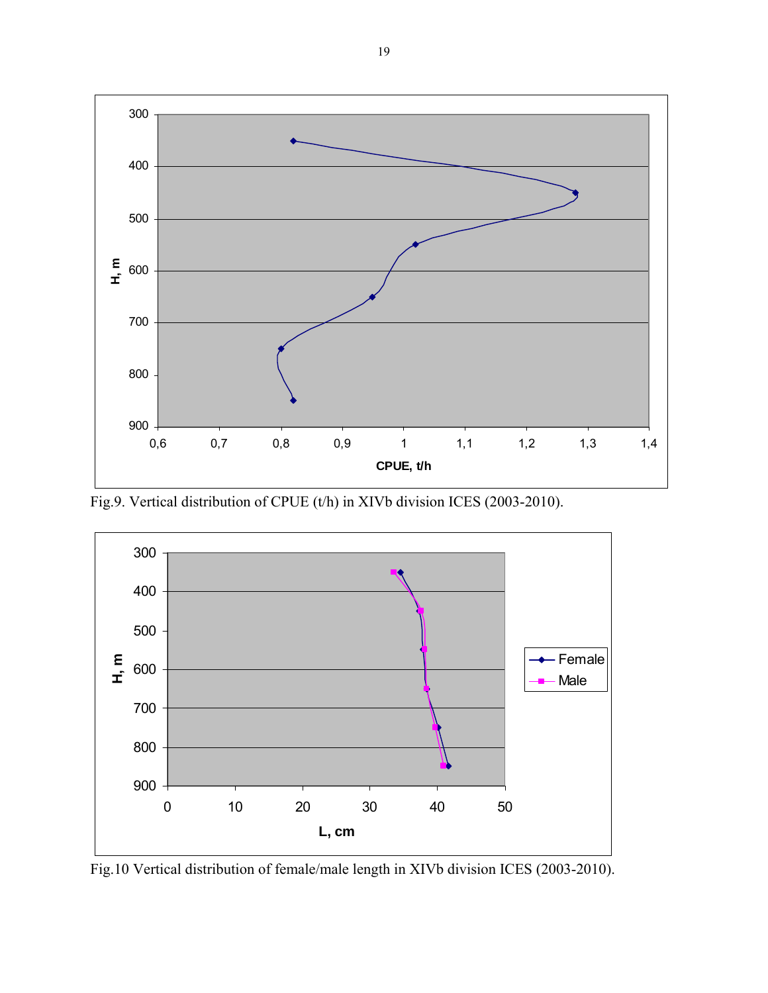

Fig.9. Vertical distribution of CPUE (t/h) in XIVb division ICES (2003-2010).



Fig.10 Vertical distribution of female/male length in XIVb division ICES (2003-2010).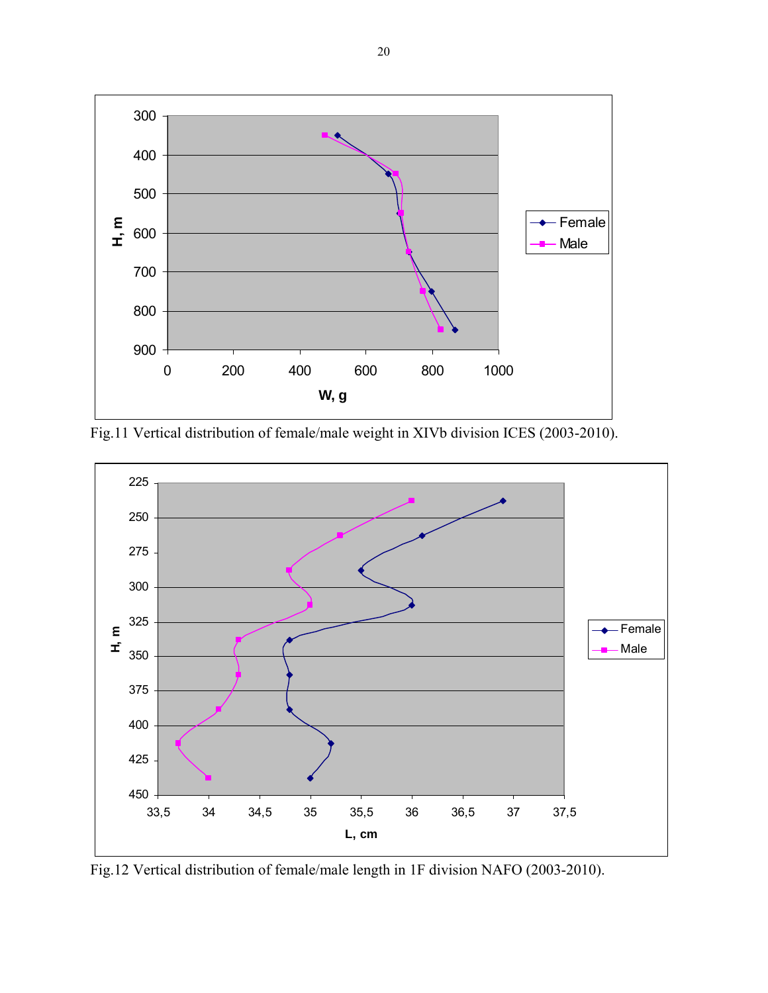

Fig.11 Vertical distribution of female/male weight in XIVb division ICES (2003-2010).



Fig.12 Vertical distribution of female/male length in 1F division NAFO (2003-2010).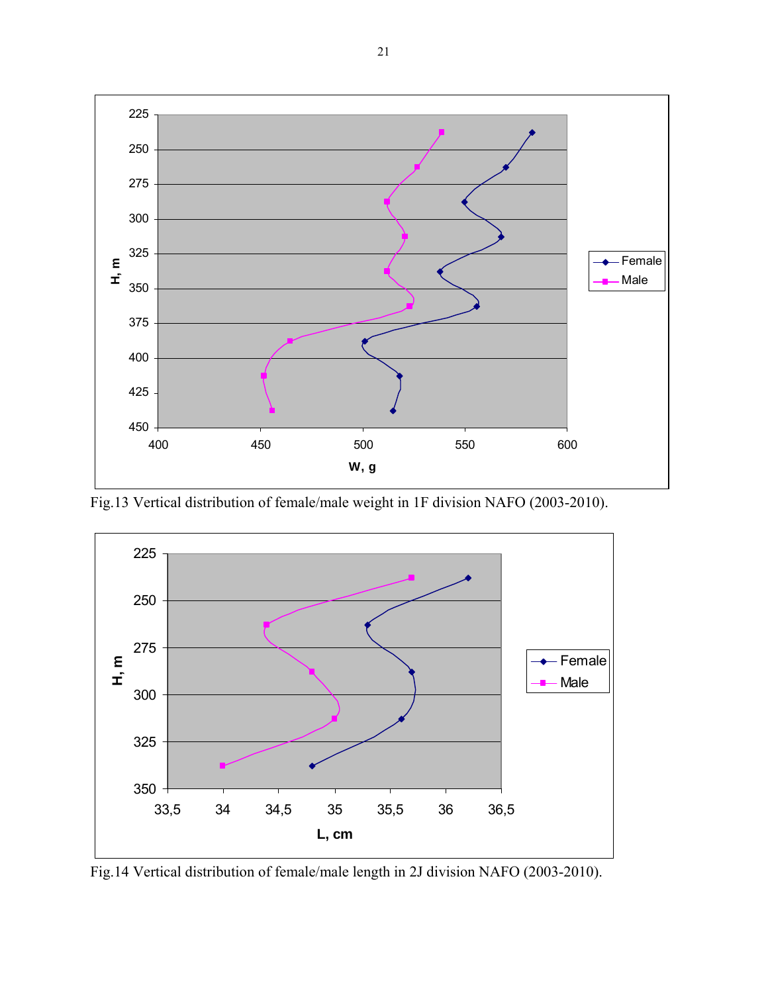

Fig.13 Vertical distribution of female/male weight in 1F division NAFO (2003-2010).



Fig.14 Vertical distribution of female/male length in 2J division NAFO (2003-2010).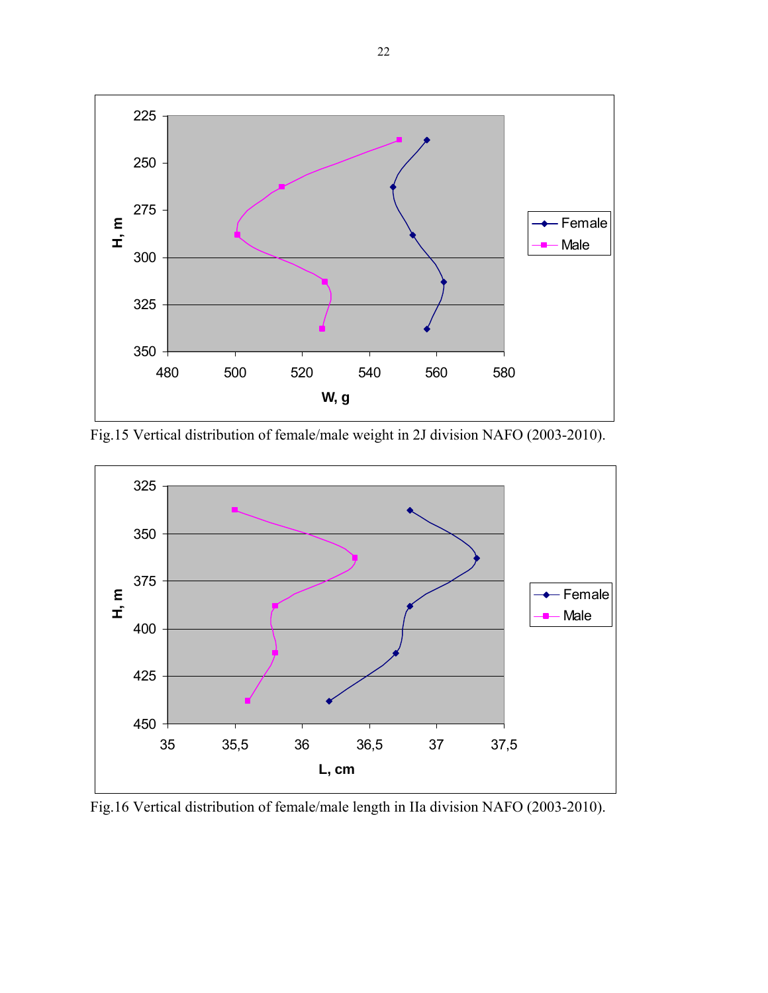

Fig.15 Vertical distribution of female/male weight in 2J division NAFO (2003-2010).



Fig.16 Vertical distribution of female/male length in IIa division NAFO (2003-2010).